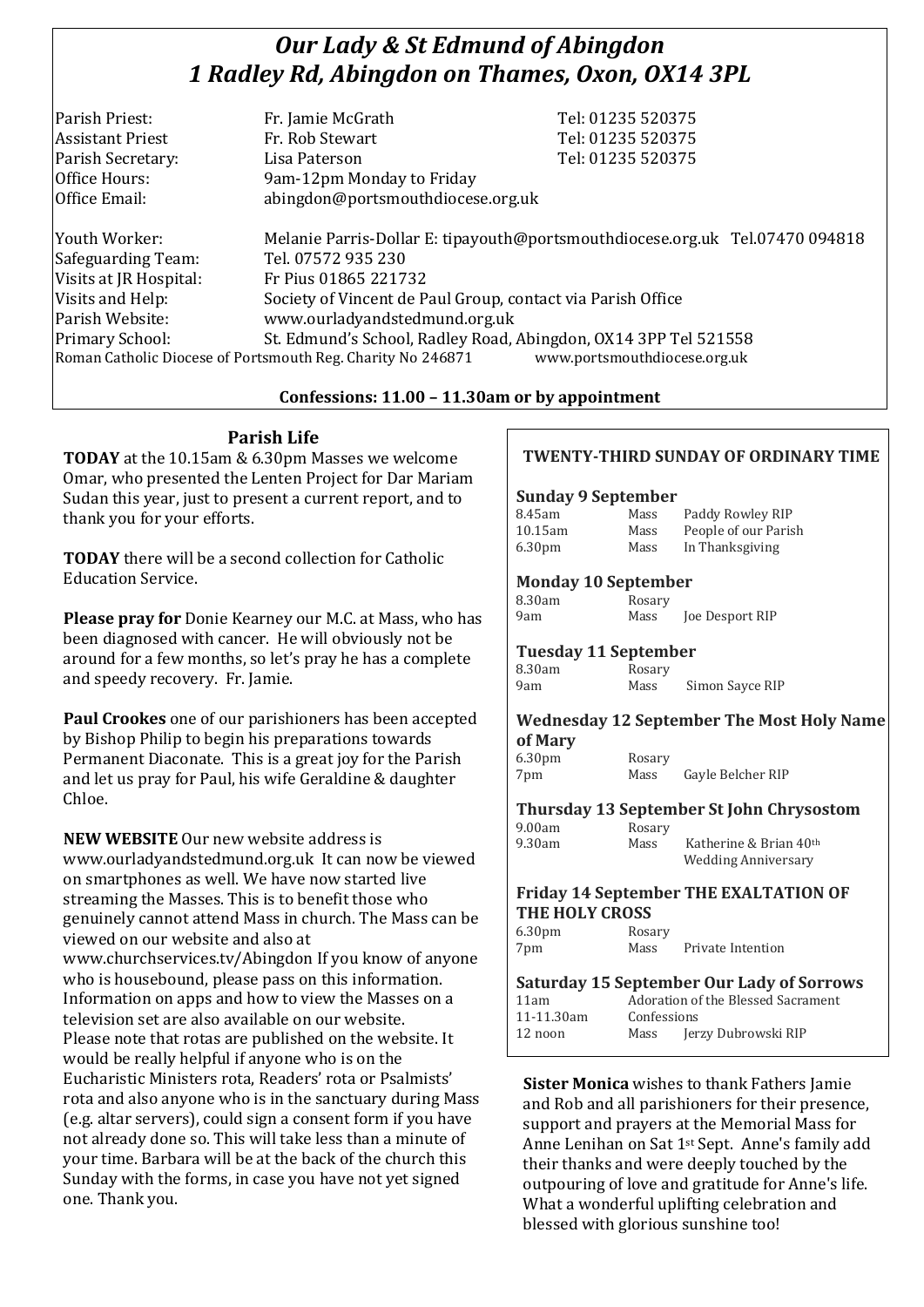# *Our Lady & St Edmund of Abingdon 1 Radley Rd, Abingdon on Thames, Oxon, OX14 3PL*

| Parish Priest:          | Fr. Jamie McGrath                 | Tel: 01235 520375 |
|-------------------------|-----------------------------------|-------------------|
| <b>Assistant Priest</b> | Fr. Rob Stewart                   | Tel: 01235 520375 |
| Parish Secretary:       | Lisa Paterson                     | Tel: 01235 520375 |
| Office Hours:           | 9am-12pm Monday to Friday         |                   |
| Office Email:           | abingdon@portsmouthdiocese.org.uk |                   |
|                         |                                   |                   |

Youth Worker: Melanie Parris-Dollar E: tipayouth@portsmouthdiocese.org.uk Tel.07470 094818 Safeguarding Team: Tel. 07572 935 230 Visits at JR Hospital: Fr Pius 01865 221732 Visits and Help: Society of Vincent de Paul Group, contact via Parish Office Parish Website: www.ourladyandstedmund.org.uk Primary School: St. Edmund's School, Radley Road, Abingdon, OX14 3PP Tel 521558 Roman Catholic Diocese of Portsmouth Reg. Charity No 246871 www.portsmouthdiocese.org.uk

#### **Confessions: 11.00 – 11.30am or by appointment**

# **Parish Life**

**TODAY** at the 10.15am & 6.30pm Masses we welcome Omar, who presented the Lenten Project for Dar Mariam Sudan this year, just to present a current report, and to thank you for your efforts.

**TODAY** there will be a second collection for Catholic Education Service.

**Please pray for** Donie Kearney our M.C. at Mass, who has been diagnosed with cancer. He will obviously not be around for a few months, so let's pray he has a complete and speedy recovery. Fr. Jamie.

**Paul Crookes** one of our parishioners has been accepted by Bishop Philip to begin his preparations towards Permanent Diaconate. This is a great joy for the Parish and let us pray for Paul, his wife Geraldine & daughter Chloe.

**NEW WEBSITE** Our new website address is www.ourladyandstedmund.org.uk It can now be viewed on smartphones as well. We have now started live streaming the Masses. This is to benefit those who genuinely cannot attend Mass in church. The Mass can be viewed on our website and also at www.churchservices.tv/Abingdon If you know of anyone who is housebound, please pass on this information. Information on apps and how to view the Masses on a television set are also available on our website. Please note that rotas are published on the website. It would be really helpful if anyone who is on the Eucharistic Ministers rota, Readers' rota or Psalmists' rota and also anyone who is in the sanctuary during Mass (e.g. altar servers), could sign a consent form if you have not already done so. This will take less than a minute of your time. Barbara will be at the back of the church this Sunday with the forms, in case you have not yet signed one. Thank you.

### **TWENTY-THIRD SUNDAY OF ORDINARY TIME**

#### **Sunday 9 September**

| 8.45am             | Mass | Paddy Rowley RIP     |
|--------------------|------|----------------------|
| 10.15am            | Mass | People of our Parish |
| 6.30 <sub>pm</sub> | Mass | In Thanksgiving      |

#### **Monday 10 September**

| 8.30am | Rosary |                 |
|--------|--------|-----------------|
| 9am    | Mass   | Joe Desport RIP |

**Tuesday 11 September**

|        | $1.400$ and $1.400$ and $1.400$ |                 |
|--------|---------------------------------|-----------------|
| 8.30am | Rosary                          |                 |
| 9am    | Mass                            | Simon Sayce RIP |

# **Wednesday 12 September The Most Holy Name of Mary**

6.30pm Rosary 7pm Mass Gayle Belcher RIP

# **Thursday 13 September St John Chrysostom**

9.00am Rosary<br>9.30am Mass

Mass Katherine & Brian 40<sup>th</sup> Wedding Anniversary

#### **Friday 14 September THE EXALTATION OF THE HOLY CROSS**

6.30pm Rosary 7pm Mass Private Intention

#### **Saturday 15 September Our Lady of Sorrows** 11am Adoration of the Blessed Sacrament 11-11.30am Confessions 12 noon Mass Jerzy Dubrowski RIP

**Sister Monica** wishes to thank Fathers Jamie and Rob and all parishioners for their presence, support and prayers at the Memorial Mass for Anne Lenihan on Sat 1st Sept. Anne's family add their thanks and were deeply touched by the outpouring of love and gratitude for Anne's life. What a wonderful uplifting celebration and blessed with glorious sunshine too!